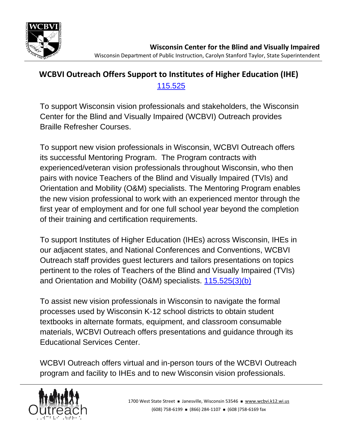

## **WCBVI Outreach Offers Support to Institutes of Higher Education (IHE)** [115.525](https://docs.legis.wisconsin.gov/document/statutes/115.525)

To support Wisconsin vision professionals and stakeholders, the Wisconsin Center for the Blind and Visually Impaired (WCBVI) Outreach provides Braille Refresher Courses.

To support new vision professionals in Wisconsin, WCBVI Outreach offers its successful Mentoring Program. The Program contracts with experienced/veteran vision professionals throughout Wisconsin, who then pairs with novice Teachers of the Blind and Visually Impaired (TVIs) and Orientation and Mobility (O&M) specialists. The Mentoring Program enables the new vision professional to work with an experienced mentor through the first year of employment and for one full school year beyond the completion of their training and certification requirements.

To support Institutes of Higher Education (IHEs) across Wisconsin, IHEs in our adjacent states, and National Conferences and Conventions, WCBVI Outreach staff provides guest lecturers and tailors presentations on topics pertinent to the roles of Teachers of the Blind and Visually Impaired (TVIs) and Orientation and Mobility (O&M) specialists. [115.525\(3\)\(b\)](https://docs.legis.wisconsin.gov/document/statutes/115.525(3)(b))

To assist new vision professionals in Wisconsin to navigate the formal processes used by Wisconsin K-12 school districts to obtain student textbooks in alternate formats, equipment, and classroom consumable materials, WCBVI Outreach offers presentations and guidance through its Educational Services Center.

WCBVI Outreach offers virtual and in-person tours of the WCBVI Outreach program and facility to IHEs and to new Wisconsin vision professionals.